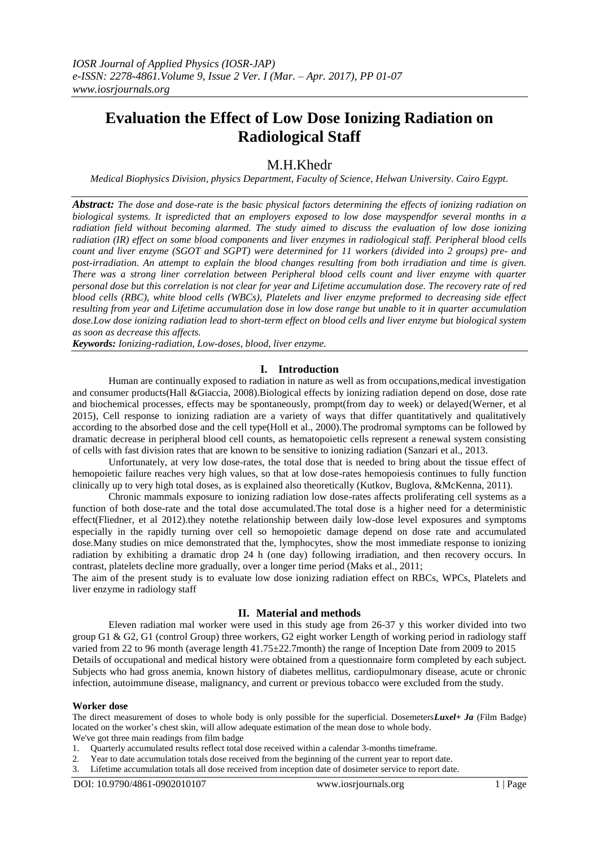# **Evaluation the Effect of Low Dose Ionizing Radiation on Radiological Staff**

# M.H.Khedr

*Medical Biophysics Division, physics Department, Faculty of Science, Helwan University. Cairo Egypt.*

*Abstract: The dose and dose-rate is the basic physical factors determining the effects of ionizing radiation on biological systems. It ispredicted that an employers exposed to low dose mayspendfor several months in a radiation field without becoming alarmed. The study aimed to discuss the evaluation of low dose ionizing radiation (IR) effect on some blood components and liver enzymes in radiological staff. Peripheral blood cells count and liver enzyme (SGOT and SGPT) were determined for 11 workers (divided into 2 groups) pre- and post-irradiation. An attempt to explain the blood changes resulting from both irradiation and time is given. There was a strong liner correlation between Peripheral blood cells count and liver enzyme with quarter personal dose but this correlation is not clear for year and Lifetime accumulation dose. The recovery rate of red blood cells (RBC), white blood cells (WBCs), Platelets and liver enzyme preformed to decreasing side effect resulting from year and Lifetime accumulation dose in low dose range but unable to it in quarter accumulation dose.Low dose ionizing radiation lead to short-term effect on blood cells and liver enzyme but biological system as soon as decrease this affects.*

*Keywords: Ionizing-radiation, Low-doses, blood, liver enzyme.*

# **I. Introduction**

Human are continually exposed to radiation in nature as well as from occupations,medical investigation and consumer products(Hall &Giaccia, 2008).Biological effects by ionizing radiation depend on dose, dose rate and biochemical processes, effects may be spontaneously, prompt(from day to week) or delayed(Werner, et al 2015), Cell response to ionizing radiation are a variety of ways that differ quantitatively and qualitatively according to the absorbed dose and the cell type(Holl et al., 2000).The prodromal symptoms can be followed by dramatic decrease in peripheral blood cell counts, as hematopoietic cells represent a renewal system consisting of cells with fast division rates that are known to be sensitive to ionizing radiation (Sanzari et al., 2013.

Unfortunately, at very low dose-rates, the total dose that is needed to bring about the tissue effect of hemopoietic failure reaches very high values, so that at low dose-rates hemopoiesis continues to fully function clinically up to very high total doses, as is explained also theoretically (Kutkov, Buglova, &McKenna, 2011).

Chronic mammals exposure to ionizing radiation low dose-rates affects proliferating cell systems as a function of both dose-rate and the total dose accumulated.The total dose is a higher need for a deterministic effect(Fliedner, et al 2012).they notethe relationship between daily low-dose level exposures and symptoms especially in the rapidly turning over cell so hemopoietic damage depend on dose rate and accumulated dose.Many studies on mice demonstrated that the, lymphocytes, show the most immediate response to ionizing radiation by exhibiting a dramatic drop 24 h (one day) following irradiation, and then recovery occurs. In contrast, platelets decline more gradually, over a longer time period (Maks et al., 2011;

The aim of the present study is to evaluate low dose ionizing radiation effect on RBCs, WPCs, Platelets and liver enzyme in radiology staff

### **II. Material and methods**

Eleven radiation mal worker were used in this study age from 26-37 y this worker divided into two group G1 & G2, G1 (control Group) three workers, G2 eight worker Length of working period in radiology staff varied from 22 to 96 month (average length 41.75±22.7month) the range of Inception Date from 2009 to 2015 Details of occupational and medical history were obtained from a questionnaire form completed by each subject. Subjects who had gross anemia, known history of diabetes mellitus, cardiopulmonary disease, acute or chronic infection, autoimmune disease, malignancy, and current or previous tobacco were excluded from the study.

#### **Worker dose**

The direct measurement of doses to whole body is only possible for the superficial. Dosemeters*Luxel+ Ja* (Film Badge) located on the worker's chest skin, will allow adequate estimation of the mean dose to whole body. We've got three main readings from film badge

- 1. Quarterly accumulated results reflect total dose received within a calendar 3-months timeframe.
- 2. Year to date accumulation totals dose received from the beginning of the current year to report date.
- 3. Lifetime accumulation totals all dose received from inception date of dosimeter service to report date.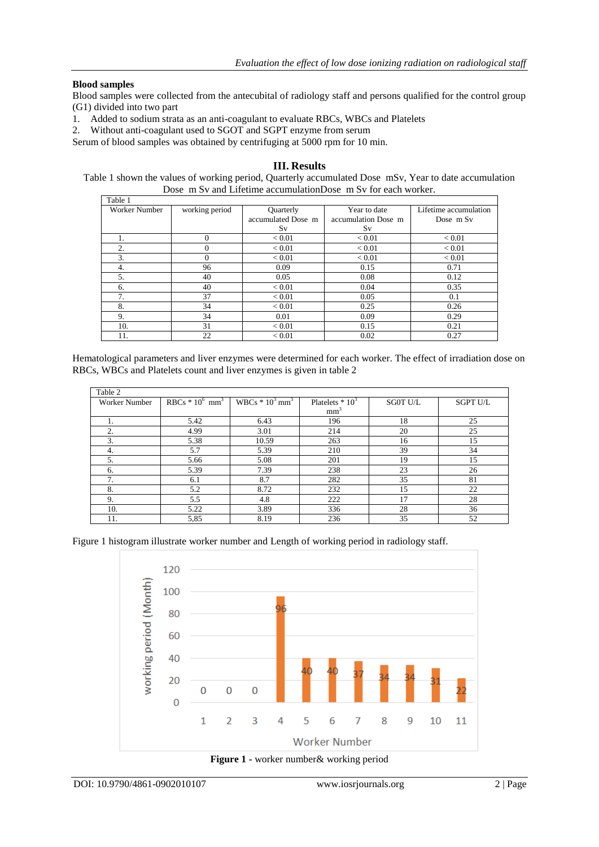# **Blood samples**

Blood samples were collected from the antecubital of radiology staff and persons qualified for the control group (G1) divided into two part

- 1. Added to sodium strata as an anti-coagulant to evaluate RBCs, WBCs and Platelets
- 2. Without anti-coagulant used to SGOT and SGPT enzyme from serum

Serum of blood samples was obtained by centrifuging at 5000 rpm for 10 min.

# **III. Results**

Table 1 shown the values of working period, Quarterly accumulated Dose mSv, Year to date accumulation Dose m Sv and Lifetime accumulationDose m Sv for each worker.

| Table 1       |                |                    |                     |                       |
|---------------|----------------|--------------------|---------------------|-----------------------|
| Worker Number | working period | Quarterly          | Year to date        | Lifetime accumulation |
|               |                | accumulated Dose m | accumulation Dose m | Dose m Sv             |
|               |                | Sv                 | Sv                  |                       |
| 1.            | $\Omega$       | ${}_{< 0.01}$      | ${}_{< 0.01}$       | ${}_{< 0.01}$         |
| 2.            | $\Omega$       | ${}_{< 0.01}$      | ${}_{< 0.01}$       | ${}_{< 0.01}$         |
| 3.            | $\Omega$       | ${}_{< 0.01}$      | ${}_{< 0.01}$       | ${}_{< 0.01}$         |
| 4.            | 96             | 0.09               | 0.15                | 0.71                  |
| 5.            | 40             | 0.05               | 0.08                | 0.12                  |
| 6.            | 40             | < 0.01             | 0.04                | 0.35                  |
| 7.            | 37             | < 0.01             | 0.05                | 0.1                   |
| 8.            | 34             | < 0.01             | 0.25                | 0.26                  |
| 9.            | 34             | 0.01               | 0.09                | 0.29                  |
| 10.           | 31             | ${}_{< 0.01}$      | 0.15                | 0.21                  |
| 11.           | 22             | ${}_{< 0.01}$      | 0.02                | 0.27                  |

Hematological parameters and liver enzymes were determined for each worker. The effect of irradiation dose on RBCs, WBCs and Platelets count and liver enzymes is given in table 2

| Table 2              |                               |                              |                   |                 |                 |
|----------------------|-------------------------------|------------------------------|-------------------|-----------------|-----------------|
| <b>Worker Number</b> | $RBCs * 10^6$ mm <sup>3</sup> | WBCs $*10^3$ mm <sup>3</sup> | Platelets $*10^3$ | <b>SGOT U/L</b> | <b>SGPT U/L</b> |
|                      |                               |                              | mm <sup>3</sup>   |                 |                 |
|                      | 5.42                          | 6.43                         | 196               | 18              | 25              |
| 2.                   | 4.99                          | 3.01                         | 214               | 20              | 25              |
| 3.                   | 5.38                          | 10.59                        | 263               | 16              | 15              |
| 4.                   | 5.7                           | 5.39                         | 210               | 39              | 34              |
| .5.                  | 5.66                          | 5.08                         | 201               | 19              | 15              |
| 6.                   | 5.39                          | 7.39                         | 238               | 23              | 26              |
| 7                    | 6.1                           | 8.7                          | 282               | 35              | 81              |
| 8.                   | 5.2                           | 8.72                         | 232               | 15              | 22              |
| 9.                   | 5.5                           | 4.8                          | 222               | 17              | 28              |
| 10.                  | 5.22                          | 3.89                         | 336               | 28              | 36              |
| 11.                  | 5,85                          | 8.19                         | 236               | 35              | 52              |

Figure 1 histogram illustrate worker number and Length of working period in radiology staff.



**Figure 1 -** worker number& working period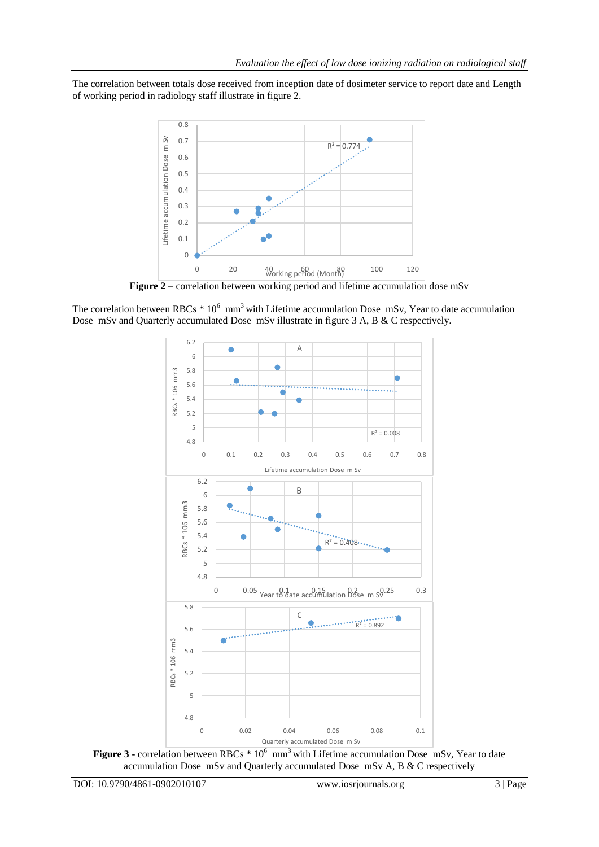The correlation between totals dose received from inception date of dosimeter service to report date and Length of working period in radiology staff illustrate in figure 2.



**Figure 2** – correlation between working period and lifetime accumulation dose mSv

The correlation between RBCs  $*10^6$  mm<sup>3</sup> with Lifetime accumulation Dose mSv, Year to date accumulation Dose mSv and Quarterly accumulated Dose mSv illustrate in figure 3 A, B & C respectively.



Figure 3 - correlation between RBCs  $*10^6$  mm<sup>3</sup> with Lifetime accumulation Dose mSv, Year to date accumulation Dose mSv and Quarterly accumulated Dose mSv A, B & C respectively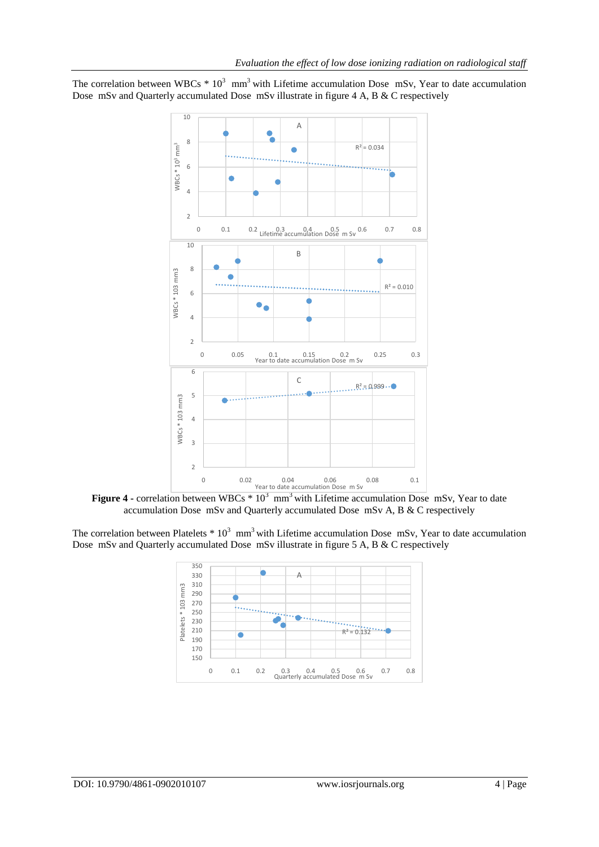The correlation between WBCs  $* 10^3$  mm<sup>3</sup> with Lifetime accumulation Dose mSv, Year to date accumulation Dose mSv and Quarterly accumulated Dose mSv illustrate in figure 4 A, B & C respectively



**Figure 4 -** correlation between WBCs  $* 10^3$  mm<sup>3</sup> with Lifetime accumulation Dose mSv, Year to date accumulation Dose mSv and Quarterly accumulated Dose mSv A, B & C respectively

The correlation between Platelets  $* 10^3$  mm<sup>3</sup> with Lifetime accumulation Dose mSv, Year to date accumulation Dose mSv and Quarterly accumulated Dose mSv illustrate in figure 5 A, B & C respectively

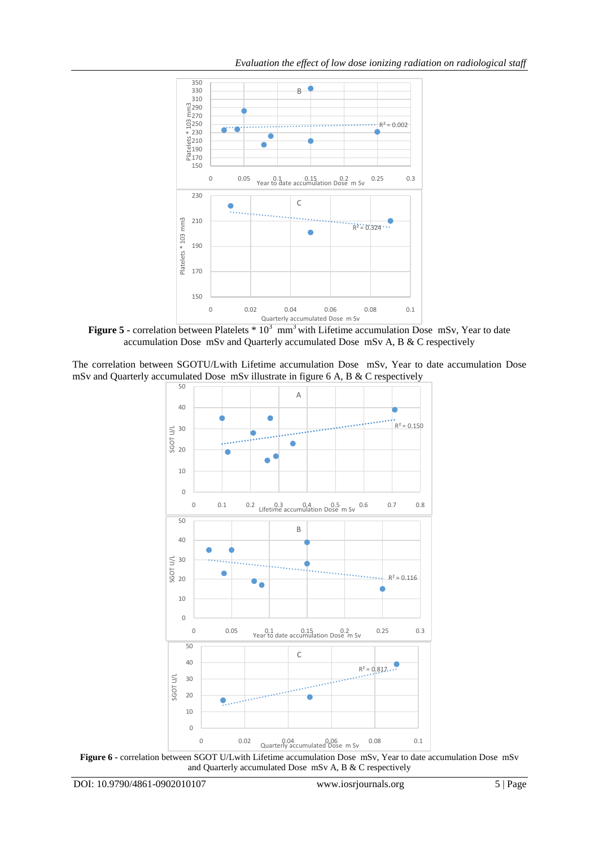

**Figure 5** - correlation between Platelets  $*10^3$  mm<sup>3</sup> with Lifetime accumulation Dose mSv, Year to date accumulation Dose mSv and Quarterly accumulated Dose mSv A, B & C respectively

The correlation between SGOTU/Lwith Lifetime accumulation Dose mSv, Year to date accumulation Dose mSv and Quarterly accumulated Dose mSv illustrate in figure 6 A, B & C respectively



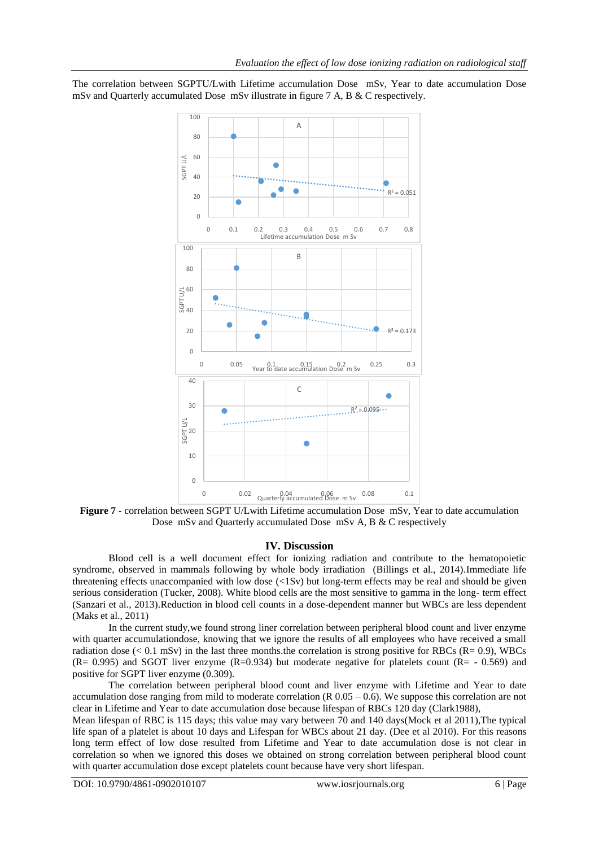The correlation between SGPTU/Lwith Lifetime accumulation Dose mSv, Year to date accumulation Dose mSv and Quarterly accumulated Dose mSv illustrate in figure 7 A, B & C respectively.



**Figure 7 -** correlation between SGPT U/Lwith Lifetime accumulation Dose mSv, Year to date accumulation Dose mSv and Quarterly accumulated Dose mSv A, B & C respectively

# **IV. Discussion**

Blood cell is a well document effect for ionizing radiation and contribute to the hematopoietic syndrome, observed in mammals following by whole body irradiation (Billings et al., 2014).Immediate life threatening effects unaccompanied with low dose (<1Sv) but long-term effects may be real and should be given serious consideration (Tucker, 2008). White blood cells are the most sensitive to gamma in the long- term effect (Sanzari et al., 2013).Reduction in blood cell counts in a dose-dependent manner but WBCs are less dependent (Maks et al., 2011)

In the current study,we found strong liner correlation between peripheral blood count and liver enzyme with quarter accumulationdose, knowing that we ignore the results of all employees who have received a small radiation dose  $(< 0.1$  mSv) in the last three months.the correlation is strong positive for RBCs (R= 0.9), WBCs ( $R = 0.995$ ) and SGOT liver enzyme ( $R = 0.934$ ) but moderate negative for platelets count ( $R = -0.569$ ) and positive for SGPT liver enzyme (0.309).

The correlation between peripheral blood count and liver enzyme with Lifetime and Year to date accumulation dose ranging from mild to moderate correlation  $(R\ 0.05 - 0.6)$ . We suppose this correlation are not clear in Lifetime and Year to date accumulation dose because lifespan of RBCs 120 day (Clark1988),

Mean lifespan of RBC is 115 days; this value may vary between 70 and 140 days(Mock et al 2011),The typical life span of a platelet is about 10 days and Lifespan for WBCs about 21 day. (Dee et al 2010). For this reasons long term effect of low dose resulted from Lifetime and Year to date accumulation dose is not clear in correlation so when we ignored this doses we obtained on strong correlation between peripheral blood count with quarter accumulation dose except platelets count because have very short lifespan.